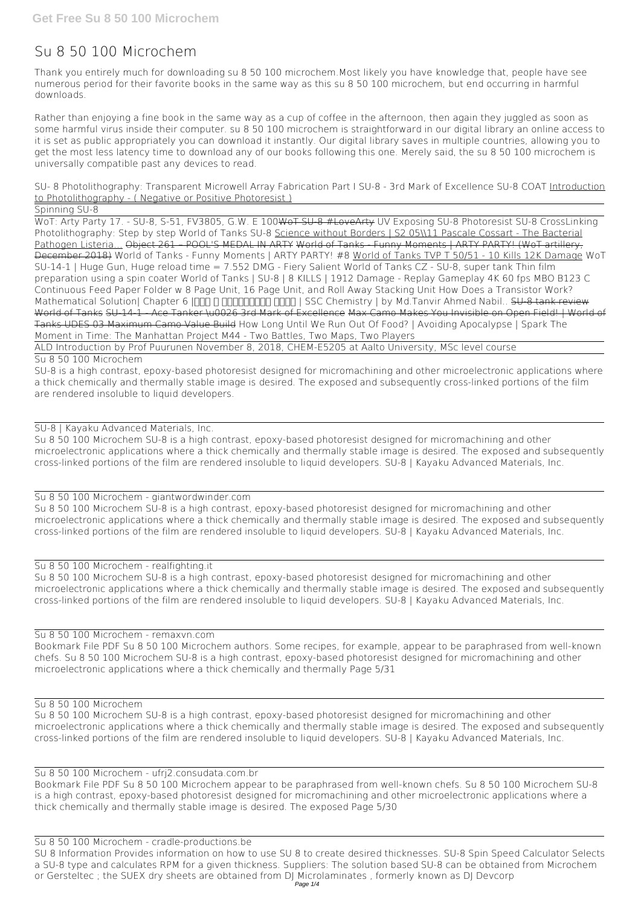# **Su 8 50 100 Microchem**

Thank you entirely much for downloading **su 8 50 100 microchem**.Most likely you have knowledge that, people have see numerous period for their favorite books in the same way as this su 8 50 100 microchem, but end occurring in harmful downloads.

Rather than enjoying a fine book in the same way as a cup of coffee in the afternoon, then again they juggled as soon as some harmful virus inside their computer. **su 8 50 100 microchem** is straightforward in our digital library an online access to it is set as public appropriately you can download it instantly. Our digital library saves in multiple countries, allowing you to get the most less latency time to download any of our books following this one. Merely said, the su 8 50 100 microchem is universally compatible past any devices to read.

*SU- 8 Photolithography: Transparent Microwell Array Fabrication Part I* SU-8 - 3rd Mark of Excellence **SU-8 COAT** Introduction to Photolithography - ( Negative or Positive Photoresist )

Spinning SU-8

WoT: Arty Party 17. - SU-8, S-51, FV3805, G.W. E 100WoT SU-8 #LoveArty *UV Exposing SU-8* Photoresist SU-8 CrossLinking *Photolithography: Step by step World of Tanks SU-8* Science without Borders | S2 05\\11 Pascale Cossart - The Bacterial Pathogen Listeria... Object 261 – POOL'S MEDAL IN ARTY World of Tanks - Funny Moments | ARTY PARTY! (WoT artillery, December 2018) **World of Tanks - Funny Moments | ARTY PARTY! #8** World of Tanks TVP T 50/51 - 10 Kills 12K Damage **WoT SU-14-1 | Huge Gun, Huge reload time = 7.552 DMG - Fiery Salient** World of Tanks CZ - SU-8, super tank *Thin film preparation using a spin coater World of Tanks | SU-8 | 8 KILLS | 1912 Damage - Replay Gameplay 4K 60 fps MBO B123 C Continuous Feed Paper Folder w 8 Page Unit, 16 Page Unit, and Roll Away Stacking Unit* How Does a Transistor Work? Mathematical Solution| Chapter 6 | 100 | 80 | 100 | 100 | 100 | SSC Chemistry | by Md.Tanvir Ahmed Nabil.. SU-8 tank review World of Tanks SU-14-1 - Ace Tanker \u0026 3rd Mark of Excellence Max Camo Makes You Invisible on Open Field! | World of Tanks UDES 03 Maximum Camo Value Build How Long Until We Run Out Of Food? | Avoiding Apocalypse | Spark The Moment in Time: The Manhattan Project *M44 - Two Battles, Two Maps, Two Players*

ALD Introduction by Prof Puurunen November 8, 2018, CHEM-E5205 at Aalto University, MSc level course

Su 8 50 100 Microchem

SU-8 is a high contrast, epoxy-based photoresist designed for micromachining and other microelectronic applications where a thick chemically and thermally stable image is desired. The exposed and subsequently cross-linked portions of the film are rendered insoluble to liquid developers.

SU-8 | Kayaku Advanced Materials, Inc.

Su 8 50 100 Microchem SU-8 is a high contrast, epoxy-based photoresist designed for micromachining and other microelectronic applications where a thick chemically and thermally stable image is desired. The exposed and subsequently cross-linked portions of the film are rendered insoluble to liquid developers. SU-8 | Kayaku Advanced Materials, Inc.

Su 8 50 100 Microchem - giantwordwinder.com

Su 8 50 100 Microchem SU-8 is a high contrast, epoxy-based photoresist designed for micromachining and other microelectronic applications where a thick chemically and thermally stable image is desired. The exposed and subsequently cross-linked portions of the film are rendered insoluble to liquid developers. SU-8 | Kayaku Advanced Materials, Inc.

### Su 8 50 100 Microchem - realfighting.it

Su 8 50 100 Microchem SU-8 is a high contrast, epoxy-based photoresist designed for micromachining and other microelectronic applications where a thick chemically and thermally stable image is desired. The exposed and subsequently cross-linked portions of the film are rendered insoluble to liquid developers. SU-8 | Kayaku Advanced Materials, Inc.

#### Su 8 50 100 Microchem - remaxvn.com

Bookmark File PDF Su 8 50 100 Microchem authors. Some recipes, for example, appear to be paraphrased from well-known chefs. Su 8 50 100 Microchem SU-8 is a high contrast, epoxy-based photoresist designed for micromachining and other microelectronic applications where a thick chemically and thermally Page 5/31

Su 8 50 100 Microchem Su 8 50 100 Microchem SU-8 is a high contrast, epoxy-based photoresist designed for micromachining and other microelectronic applications where a thick chemically and thermally stable image is desired. The exposed and subsequently cross-linked portions of the film are rendered insoluble to liquid developers. SU-8 | Kayaku Advanced Materials, Inc.

Su 8 50 100 Microchem - ufrj2.consudata.com.br Bookmark File PDF Su 8 50 100 Microchem appear to be paraphrased from well-known chefs. Su 8 50 100 Microchem SU-8 is a high contrast, epoxy-based photoresist designed for micromachining and other microelectronic applications where a thick chemically and thermally stable image is desired. The exposed Page 5/30

Su 8 50 100 Microchem - cradle-productions.be SU 8 Information Provides information on how to use SU 8 to create desired thicknesses. SU-8 Spin Speed Calculator Selects a SU-8 type and calculates RPM for a given thickness. Suppliers: The solution based SU-8 can be obtained from Microchem or Gersteltec ; the SUEX dry sheets are obtained from DJ Microlaminates, formerly known as DJ Devcorp Page 1/4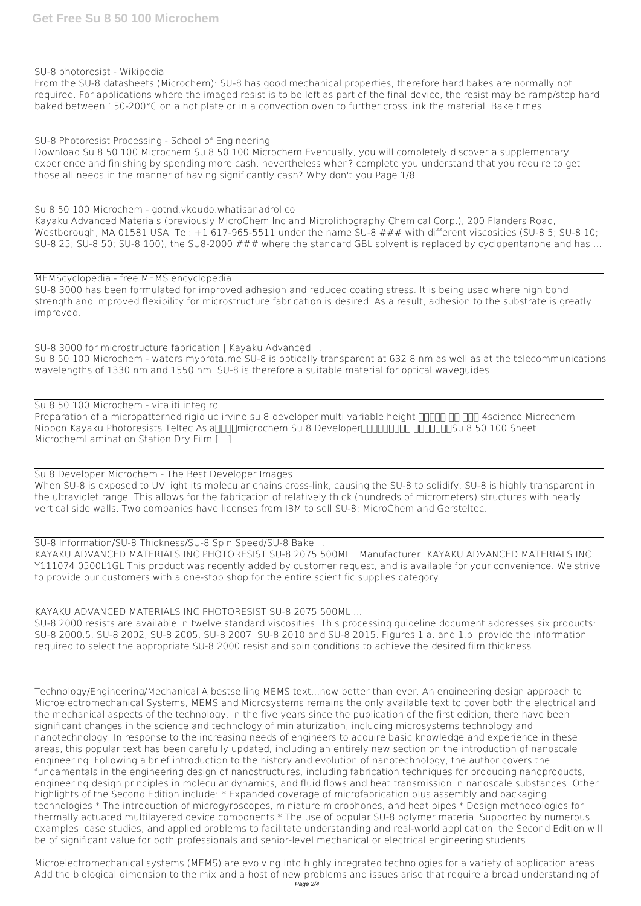#### SU-8 photoresist - Wikipedia

From the SU-8 datasheets (Microchem): SU-8 has good mechanical properties, therefore hard bakes are normally not required. For applications where the imaged resist is to be left as part of the final device, the resist may be ramp/step hard baked between 150-200°C on a hot plate or in a convection oven to further cross link the material. Bake times

SU-8 Photoresist Processing - School of Engineering Download Su 8 50 100 Microchem Su 8 50 100 Microchem Eventually, you will completely discover a supplementary experience and finishing by spending more cash. nevertheless when? complete you understand that you require to get those all needs in the manner of having significantly cash? Why don't you Page 1/8

Su 8 50 100 Microchem - gotnd.vkoudo.whatisanadrol.co Kayaku Advanced Materials (previously MicroChem Inc and Microlithography Chemical Corp.), 200 Flanders Road, Westborough, MA 01581 USA, Tel: +1 617-965-5511 under the name SU-8 ### with different viscosities (SU-8 5; SU-8 10; SU-8 25; SU-8 50; SU-8 100), the SU8-2000 ### where the standard GBL solvent is replaced by cyclopentanone and has ...

MEMScyclopedia - free MEMS encyclopedia SU-8 3000 has been formulated for improved adhesion and reduced coating stress. It is being used where high bond strength and improved flexibility for microstructure fabrication is desired. As a result, adhesion to the substrate is greatly improved.

SU-8 3000 for microstructure fabrication | Kayaku Advanced ...

Su 8 50 100 Microchem - waters.myprota.me SU-8 is optically transparent at 632.8 nm as well as at the telecommunications wavelengths of 1330 nm and 1550 nm. SU-8 is therefore a suitable material for optical waveguides.

Su 8 50 100 Microchem - vitaliti.integ.ro Preparation of a micropatterned rigid uc irvine su 8 developer multi variable height **HHHH** HE 4science Microchem Nippon Kayaku Photoresists Teltec Asiannellicochem Su 8 Developer **INNER IN ANDRE ISLANDES** 8 50 100 Sheet MicrochemLamination Station Dry Film […]

Su 8 Developer Microchem - The Best Developer Images When SU-8 is exposed to UV light its molecular chains cross-link, causing the SU-8 to solidify. SU-8 is highly transparent in the ultraviolet range. This allows for the fabrication of relatively thick (hundreds of micrometers) structures with nearly vertical side walls. Two companies have licenses from IBM to sell SU-8: MicroChem and Gersteltec.

SU-8 Information/SU-8 Thickness/SU-8 Spin Speed/SU-8 Bake ... KAYAKU ADVANCED MATERIALS INC PHOTORESIST SU-8 2075 500ML . Manufacturer: KAYAKU ADVANCED MATERIALS INC Y111074 0500L1GL This product was recently added by customer request, and is available for your convenience. We strive to provide our customers with a one-stop shop for the entire scientific supplies category.

KAYAKU ADVANCED MATERIALS INC PHOTORESIST SU-8 2075 500ML ...

SU-8 2000 resists are available in twelve standard viscosities. This processing guideline document addresses six products: SU-8 2000.5, SU-8 2002, SU-8 2005, SU-8 2007, SU-8 2010 and SU-8 2015. Figures 1.a. and 1.b. provide the information required to select the appropriate SU-8 2000 resist and spin conditions to achieve the desired film thickness.

Technology/Engineering/Mechanical A bestselling MEMS text...now better than ever. An engineering design approach to Microelectromechanical Systems, MEMS and Microsystems remains the only available text to cover both the electrical and the mechanical aspects of the technology. In the five years since the publication of the first edition, there have been significant changes in the science and technology of miniaturization, including microsystems technology and nanotechnology. In response to the increasing needs of engineers to acquire basic knowledge and experience in these areas, this popular text has been carefully updated, including an entirely new section on the introduction of nanoscale engineering. Following a brief introduction to the history and evolution of nanotechnology, the author covers the fundamentals in the engineering design of nanostructures, including fabrication techniques for producing nanoproducts, engineering design principles in molecular dynamics, and fluid flows and heat transmission in nanoscale substances. Other highlights of the Second Edition include: \* Expanded coverage of microfabrication plus assembly and packaging technologies \* The introduction of microgyroscopes, miniature microphones, and heat pipes \* Design methodologies for thermally actuated multilayered device components \* The use of popular SU-8 polymer material Supported by numerous examples, case studies, and applied problems to facilitate understanding and real-world application, the Second Edition will be of significant value for both professionals and senior-level mechanical or electrical engineering students.

Microelectromechanical systems (MEMS) are evolving into highly integrated technologies for a variety of application areas. Add the biological dimension to the mix and a host of new problems and issues arise that require a broad understanding of Page 2/4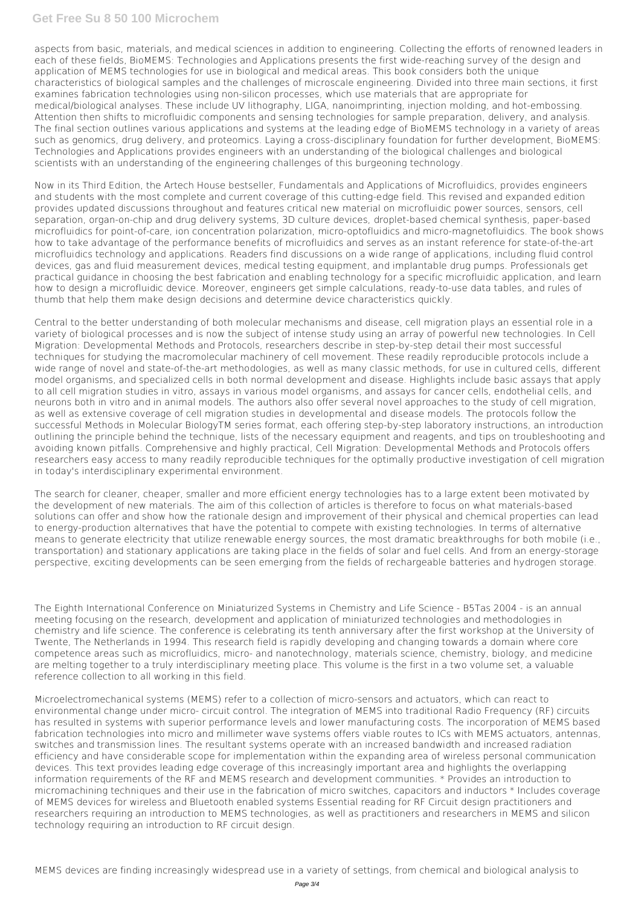## **Get Free Su 8 50 100 Microchem**

aspects from basic, materials, and medical sciences in addition to engineering. Collecting the efforts of renowned leaders in each of these fields, BioMEMS: Technologies and Applications presents the first wide-reaching survey of the design and application of MEMS technologies for use in biological and medical areas. This book considers both the unique characteristics of biological samples and the challenges of microscale engineering. Divided into three main sections, it first examines fabrication technologies using non-silicon processes, which use materials that are appropriate for medical/biological analyses. These include UV lithography, LIGA, nanoimprinting, injection molding, and hot-embossing. Attention then shifts to microfluidic components and sensing technologies for sample preparation, delivery, and analysis. The final section outlines various applications and systems at the leading edge of BioMEMS technology in a variety of areas such as genomics, drug delivery, and proteomics. Laying a cross-disciplinary foundation for further development, BioMEMS: Technologies and Applications provides engineers with an understanding of the biological challenges and biological scientists with an understanding of the engineering challenges of this burgeoning technology.

Now in its Third Edition, the Artech House bestseller, Fundamentals and Applications of Microfluidics, provides engineers and students with the most complete and current coverage of this cutting-edge field. This revised and expanded edition provides updated discussions throughout and features critical new material on microfluidic power sources, sensors, cell separation, organ-on-chip and drug delivery systems, 3D culture devices, droplet-based chemical synthesis, paper-based microfluidics for point-of-care, ion concentration polarization, micro-optofluidics and micro-magnetofluidics. The book shows how to take advantage of the performance benefits of microfluidics and serves as an instant reference for state-of-the-art microfluidics technology and applications. Readers find discussions on a wide range of applications, including fluid control devices, gas and fluid measurement devices, medical testing equipment, and implantable drug pumps. Professionals get practical guidance in choosing the best fabrication and enabling technology for a specific microfluidic application, and learn how to design a microfluidic device. Moreover, engineers get simple calculations, ready-to-use data tables, and rules of thumb that help them make design decisions and determine device characteristics quickly.

Central to the better understanding of both molecular mechanisms and disease, cell migration plays an essential role in a variety of biological processes and is now the subject of intense study using an array of powerful new technologies. In Cell Migration: Developmental Methods and Protocols, researchers describe in step-by-step detail their most successful techniques for studying the macromolecular machinery of cell movement. These readily reproducible protocols include a wide range of novel and state-of-the-art methodologies, as well as many classic methods, for use in cultured cells, different model organisms, and specialized cells in both normal development and disease. Highlights include basic assays that apply to all cell migration studies in vitro, assays in various model organisms, and assays for cancer cells, endothelial cells, and neurons both in vitro and in animal models. The authors also offer several novel approaches to the study of cell migration, as well as extensive coverage of cell migration studies in developmental and disease models. The protocols follow the successful Methods in Molecular BiologyTM series format, each offering step-by-step laboratory instructions, an introduction outlining the principle behind the technique, lists of the necessary equipment and reagents, and tips on troubleshooting and avoiding known pitfalls. Comprehensive and highly practical, Cell Migration: Developmental Methods and Protocols offers researchers easy access to many readily reproducible techniques for the optimally productive investigation of cell migration in today's interdisciplinary experimental environment.

The search for cleaner, cheaper, smaller and more efficient energy technologies has to a large extent been motivated by the development of new materials. The aim of this collection of articles is therefore to focus on what materials-based solutions can offer and show how the rationale design and improvement of their physical and chemical properties can lead to energy-production alternatives that have the potential to compete with existing technologies. In terms of alternative means to generate electricity that utilize renewable energy sources, the most dramatic breakthroughs for both mobile (i.e., transportation) and stationary applications are taking place in the fields of solar and fuel cells. And from an energy-storage perspective, exciting developments can be seen emerging from the fields of rechargeable batteries and hydrogen storage.

The Eighth International Conference on Miniaturized Systems in Chemistry and Life Science - B5Tas 2004 - is an annual meeting focusing on the research, development and application of miniaturized technologies and methodologies in chemistry and life science. The conference is celebrating its tenth anniversary after the first workshop at the University of Twente, The Netherlands in 1994. This research field is rapidly developing and changing towards a domain where core competence areas such as microfluidics, micro- and nanotechnology, materials science, chemistry, biology, and medicine are melting together to a truly interdisciplinary meeting place. This volume is the first in a two volume set, a valuable reference collection to all working in this field.

Microelectromechanical systems (MEMS) refer to a collection of micro-sensors and actuators, which can react to environmental change under micro- circuit control. The integration of MEMS into traditional Radio Frequency (RF) circuits has resulted in systems with superior performance levels and lower manufacturing costs. The incorporation of MEMS based fabrication technologies into micro and millimeter wave systems offers viable routes to ICs with MEMS actuators, antennas, switches and transmission lines. The resultant systems operate with an increased bandwidth and increased radiation efficiency and have considerable scope for implementation within the expanding area of wireless personal communication devices. This text provides leading edge coverage of this increasingly important area and highlights the overlapping information requirements of the RF and MEMS research and development communities. \* Provides an introduction to micromachining techniques and their use in the fabrication of micro switches, capacitors and inductors \* Includes coverage of MEMS devices for wireless and Bluetooth enabled systems Essential reading for RF Circuit design practitioners and researchers requiring an introduction to MEMS technologies, as well as practitioners and researchers in MEMS and silicon technology requiring an introduction to RF circuit design.

MEMS devices are finding increasingly widespread use in a variety of settings, from chemical and biological analysis to